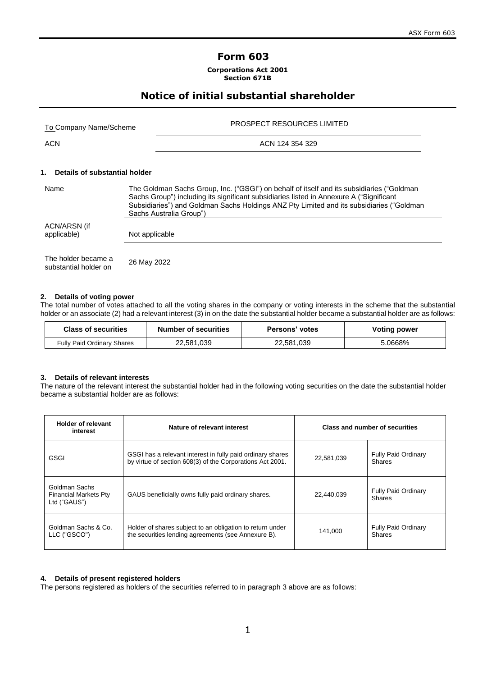## **Form 603**

**Corporations Act 2001 Section 671B**

## **Notice of initial substantial shareholder**

| To Company Name/Scheme | <b>PROSPECT RESOURCES LIMITED</b> |
|------------------------|-----------------------------------|
| <b>ACN</b>             | ACN 124 354 329                   |

## **1. Details of substantial holder**

| Name                                         | The Goldman Sachs Group, Inc. ("GSGI") on behalf of itself and its subsidiaries ("Goldman<br>Sachs Group") including its significant subsidiaries listed in Annexure A ("Significant<br>Subsidiaries") and Goldman Sachs Holdings ANZ Pty Limited and its subsidiaries ("Goldman<br>Sachs Australia Group") |
|----------------------------------------------|-------------------------------------------------------------------------------------------------------------------------------------------------------------------------------------------------------------------------------------------------------------------------------------------------------------|
| ACN/ARSN (if<br>applicable)                  | Not applicable                                                                                                                                                                                                                                                                                              |
| The holder became a<br>substantial holder on | 26 May 2022                                                                                                                                                                                                                                                                                                 |

## **2. Details of voting power**

The total number of votes attached to all the voting shares in the company or voting interests in the scheme that the substantial holder or an associate (2) had a relevant interest (3) in on the date the substantial holder became a substantial holder are as follows:

| <b>Class of securities</b> | <b>Number of securities</b> | Persons' votes | Voting power |
|----------------------------|-----------------------------|----------------|--------------|
| Fully Paid Ordinary Shares | 22,581,039                  | 22,581,039     | 5.0668%      |

### **3. Details of relevant interests**

The nature of the relevant interest the substantial holder had in the following voting securities on the date the substantial holder became a substantial holder are as follows:

| <b>Holder of relevant</b><br>interest                         | Nature of relevant interest                                                                                             |            | Class and number of securities              |
|---------------------------------------------------------------|-------------------------------------------------------------------------------------------------------------------------|------------|---------------------------------------------|
| GSGI                                                          | GSGI has a relevant interest in fully paid ordinary shares<br>by virtue of section 608(3) of the Corporations Act 2001. | 22,581,039 | <b>Fully Paid Ordinary</b><br><b>Shares</b> |
| Goldman Sachs<br><b>Financial Markets Pty</b><br>Ltd ("GAUS") | GAUS beneficially owns fully paid ordinary shares.                                                                      |            | <b>Fully Paid Ordinary</b><br>Shares        |
| Goldman Sachs & Co.<br>LLC ("GSCO")                           | Holder of shares subject to an obligation to return under<br>the securities lending agreements (see Annexure B).        | 141,000    | <b>Fully Paid Ordinary</b><br>Shares        |

## **4. Details of present registered holders**

The persons registered as holders of the securities referred to in paragraph 3 above are as follows: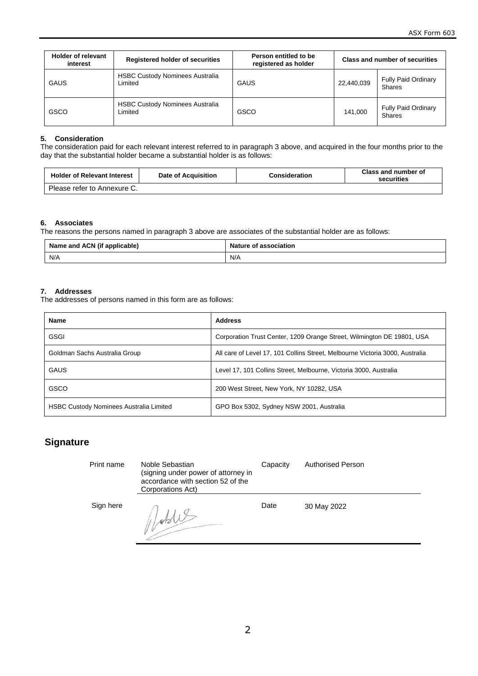| <b>Holder of relevant</b><br>interest | <b>Registered holder of securities</b>            | Person entitled to be<br>registered as holder |            | <b>Class and number of securities</b>       |
|---------------------------------------|---------------------------------------------------|-----------------------------------------------|------------|---------------------------------------------|
| <b>GAUS</b>                           | <b>HSBC Custody Nominees Australia</b><br>Limited | <b>GAUS</b>                                   | 22,440,039 | <b>Fully Paid Ordinary</b><br><b>Shares</b> |
| GSCO                                  | <b>HSBC Custody Nominees Australia</b><br>Limited | GSCO                                          | 141.000    | <b>Fully Paid Ordinary</b><br><b>Shares</b> |

### **5. Consideration**

The consideration paid for each relevant interest referred to in paragraph 3 above, and acquired in the four months prior to the day that the substantial holder became a substantial holder is as follows:

| <b>Holder of Relevant Interest</b> | Date of Acquisition | Consideration | Class and number of<br>securities |
|------------------------------------|---------------------|---------------|-----------------------------------|
| Please refer to Annexure C.        |                     |               |                                   |

### **6. Associates**

The reasons the persons named in paragraph 3 above are associates of the substantial holder are as follows:

| Name and ACN (if applicable) |     | Nature of association |  |
|------------------------------|-----|-----------------------|--|
|                              | N/A | N/A                   |  |

### **7. Addresses**

The addresses of persons named in this form are as follows:

| <b>Name</b>                                    | <b>Address</b>                                                               |
|------------------------------------------------|------------------------------------------------------------------------------|
| <b>GSGI</b>                                    | Corporation Trust Center, 1209 Orange Street, Wilmington DE 19801, USA       |
| Goldman Sachs Australia Group                  | All care of Level 17, 101 Collins Street, Melbourne Victoria 3000, Australia |
| <b>GAUS</b>                                    | Level 17, 101 Collins Street, Melbourne, Victoria 3000, Australia            |
| GSCO                                           | 200 West Street, New York, NY 10282, USA                                     |
| <b>HSBC Custody Nominees Australia Limited</b> | GPO Box 5302, Sydney NSW 2001, Australia                                     |

| Print name | Noble Sebastian<br>(signing under power of attorney in<br>accordance with section 52 of the<br>Corporations Act) | Capacity | <b>Authorised Person</b> |
|------------|------------------------------------------------------------------------------------------------------------------|----------|--------------------------|
| Sign here  |                                                                                                                  | Date     | 30 May 2022              |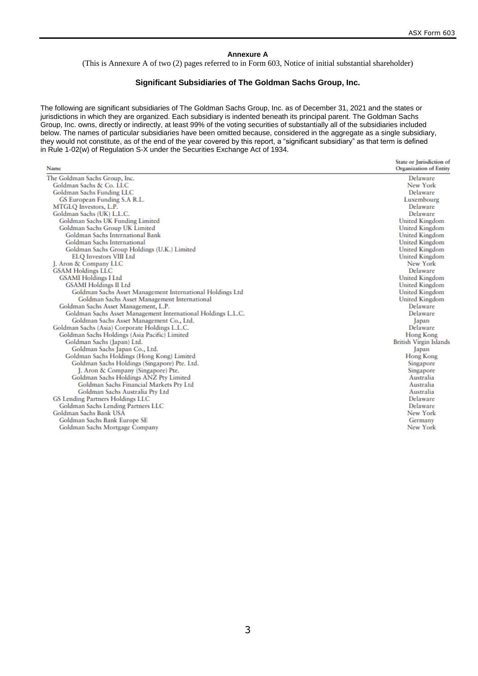and a

#### **Annexure A**

(This is Annexure A of two (2) pages referred to in Form 603, Notice of initial substantial shareholder)

### **Significant Subsidiaries of The Goldman Sachs Group, Inc.**

The following are significant subsidiaries of The Goldman Sachs Group, Inc. as of December 31, 2021 and the states or jurisdictions in which they are organized. Each subsidiary is indented beneath its principal parent. The Goldman Sachs Group, Inc. owns, directly or indirectly, at least 99% of the voting securities of substantially all of the subsidiaries included below. The names of particular subsidiaries have been omitted because, considered in the aggregate as a single subsidiary, they would not constitute, as of the end of the year covered by this report, a "significant subsidiary" as that term is defined in Rule 1-02(w) of Regulation S-X under the Securities Exchange Act of 1934.

| Name                                                         | State or Jurisdiction of<br><b>Organization of Entity</b> |
|--------------------------------------------------------------|-----------------------------------------------------------|
| The Goldman Sachs Group, Inc.                                | Delaware                                                  |
| Goldman Sachs & Co. LLC                                      | New York                                                  |
| <b>Goldman Sachs Funding LLC</b>                             | Delaware                                                  |
| GS European Funding S.A R.L.                                 | Luxembourg                                                |
| MTGLQ Investors, L.P.                                        | Delaware                                                  |
| Goldman Sachs (UK) L.L.C.                                    | Delaware                                                  |
| Goldman Sachs UK Funding Limited                             | <b>United Kingdom</b>                                     |
| Goldman Sachs Group UK Limited                               | United Kingdom                                            |
| <b>Goldman Sachs International Bank</b>                      | <b>United Kingdom</b>                                     |
| <b>Goldman Sachs International</b>                           | <b>United Kingdom</b>                                     |
| Goldman Sachs Group Holdings (U.K.) Limited                  | <b>United Kingdom</b>                                     |
| <b>ELQ Investors VIII Ltd</b>                                | <b>United Kingdom</b>                                     |
| J. Aron & Company LLC                                        | New York                                                  |
| <b>GSAM Holdings LLC</b>                                     | Delaware                                                  |
| <b>GSAMI</b> Holdings I Ltd                                  | <b>United Kingdom</b>                                     |
| <b>GSAMI</b> Holdings II Ltd                                 | <b>United Kingdom</b>                                     |
| Goldman Sachs Asset Management International Holdings Ltd    | <b>United Kingdom</b>                                     |
| Goldman Sachs Asset Management International                 | <b>United Kingdom</b>                                     |
| Goldman Sachs Asset Management, L.P.                         | Delaware                                                  |
| Goldman Sachs Asset Management International Holdings L.L.C. | Delaware                                                  |
| Goldman Sachs Asset Management Co., Ltd.                     | Japan                                                     |
| Goldman Sachs (Asia) Corporate Holdings L.L.C.               | Delaware                                                  |
| Goldman Sachs Holdings (Asia Pacific) Limited                | Hong Kong                                                 |
| Goldman Sachs (Japan) Ltd.                                   | <b>British Virgin Islands</b>                             |
| Goldman Sachs Japan Co., Ltd.                                | Japan                                                     |
| Goldman Sachs Holdings (Hong Kong) Limited                   | Hong Kong                                                 |
| Goldman Sachs Holdings (Singapore) Pte. Ltd.                 | Singapore                                                 |
| J. Aron & Company (Singapore) Pte.                           | Singapore                                                 |
| Goldman Sachs Holdings ANZ Pty Limited                       | Australia                                                 |
| Goldman Sachs Financial Markets Pty Ltd                      | Australia                                                 |
| Goldman Sachs Australia Pty Ltd                              | Australia                                                 |
| <b>GS Lending Partners Holdings LLC</b>                      | Delaware                                                  |
| Goldman Sachs Lending Partners LLC                           | Delaware                                                  |
| Goldman Sachs Bank USA                                       | New York                                                  |
| Goldman Sachs Bank Europe SE                                 | Germany                                                   |
| Goldman Sachs Mortgage Company                               | New York                                                  |
|                                                              |                                                           |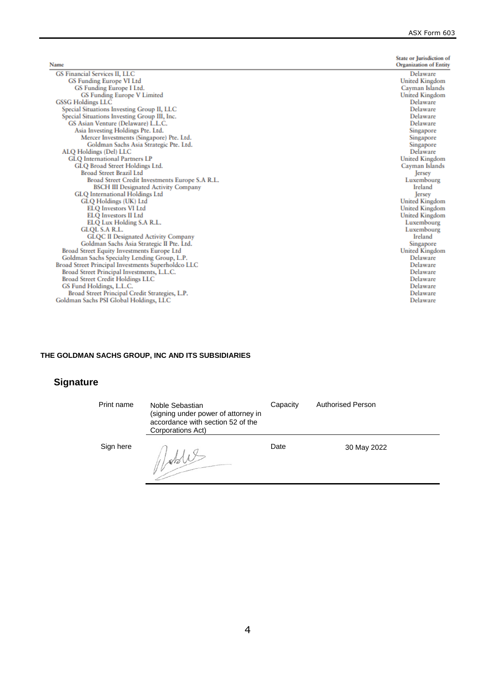J.

| Name                                               | <b>State or Jurisdiction of</b><br><b>Organization of Entity</b> |
|----------------------------------------------------|------------------------------------------------------------------|
| <b>GS Financial Services II, LLC</b>               | Delaware                                                         |
| GS Funding Europe VI Ltd                           | <b>United Kingdom</b>                                            |
| GS Funding Europe I Ltd.                           | Cayman Islands                                                   |
| <b>GS Funding Europe V Limited</b>                 | <b>United Kingdom</b>                                            |
| <b>GSSG Holdings LLC</b>                           | Delaware                                                         |
| Special Situations Investing Group II, LLC         | Delaware                                                         |
| Special Situations Investing Group III, Inc.       | Delaware                                                         |
| GS Asian Venture (Delaware) L.L.C.                 | Delaware                                                         |
| Asia Investing Holdings Pte. Ltd.                  | Singapore                                                        |
| Mercer Investments (Singapore) Pte. Ltd.           | Singapore                                                        |
| Goldman Sachs Asia Strategic Pte. Ltd.             | Singapore                                                        |
| ALQ Holdings (Del) LLC                             | Delaware                                                         |
| <b>GLO</b> International Partners LP               | <b>United Kingdom</b>                                            |
| GLQ Broad Street Holdings Ltd.                     | Cayman Islands                                                   |
| <b>Broad Street Brazil Ltd</b>                     | ersey                                                            |
| Broad Street Credit Investments Europe S.A R.L.    | Luxembourg                                                       |
| <b>BSCH III Designated Activity Company</b>        | Ireland                                                          |
| <b>GLQ</b> International Holdings Ltd              | Jersey                                                           |
| GLQ Holdings (UK) Ltd                              | <b>United Kingdom</b>                                            |
| <b>ELQ Investors VI Ltd</b>                        | <b>United Kingdom</b>                                            |
| <b>ELQ Investors II Ltd</b>                        | United Kingdom                                                   |
| ELQ Lux Holding S.A R.L.                           | Luxembourg                                                       |
| <b>GLQL S.A R.L.</b>                               | Luxembourg                                                       |
| <b>GLQC II Designated Activity Company</b>         | Ireland                                                          |
| Goldman Sachs Asia Strategic II Pte. Ltd.          | Singapore                                                        |
| Broad Street Equity Investments Europe Ltd         | United Kingdom                                                   |
| Goldman Sachs Specialty Lending Group, L.P.        | Delaware                                                         |
| Broad Street Principal Investments Superholdco LLC | Delaware                                                         |
| Broad Street Principal Investments, L.L.C.         | Delaware                                                         |
| <b>Broad Street Credit Holdings LLC</b>            | Delaware                                                         |
| GS Fund Holdings, L.L.C.                           | Delaware                                                         |
| Broad Street Principal Credit Strategies, L.P.     | Delaware                                                         |
| Goldman Sachs PSI Global Holdings, LLC             | Delaware                                                         |

## **THE GOLDMAN SACHS GROUP, INC AND ITS SUBSIDIARIES**

| Print name | Noble Sebastian<br>(signing under power of attorney in<br>accordance with section 52 of the<br>Corporations Act) | Capacity | <b>Authorised Person</b> |
|------------|------------------------------------------------------------------------------------------------------------------|----------|--------------------------|
| Sign here  |                                                                                                                  | Date     | 30 May 2022              |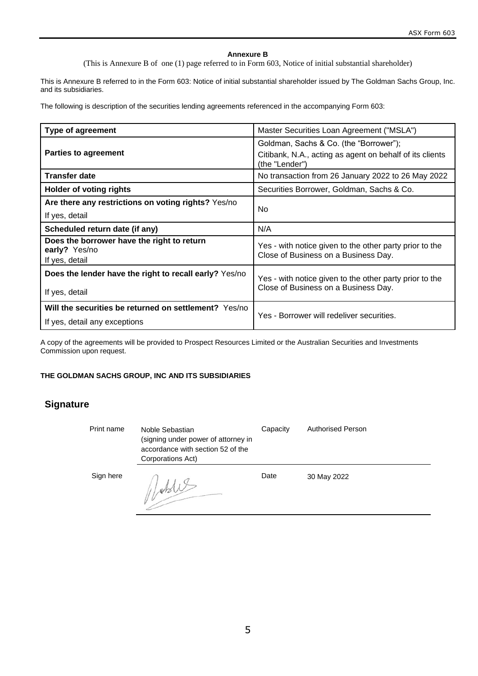### **Annexure B**

(This is Annexure B of one (1) page referred to in Form 603, Notice of initial substantial shareholder)

This is Annexure B referred to in the Form 603: Notice of initial substantial shareholder issued by The Goldman Sachs Group, Inc. and its subsidiaries.

The following is description of the securities lending agreements referenced in the accompanying Form 603:

| <b>Type of agreement</b>                                                      | Master Securities Loan Agreement ("MSLA")                                                       |  |
|-------------------------------------------------------------------------------|-------------------------------------------------------------------------------------------------|--|
|                                                                               | Goldman, Sachs & Co. (the "Borrower");                                                          |  |
| <b>Parties to agreement</b>                                                   | Citibank, N.A., acting as agent on behalf of its clients<br>(the "Lender")                      |  |
| <b>Transfer date</b>                                                          | No transaction from 26 January 2022 to 26 May 2022                                              |  |
| <b>Holder of voting rights</b>                                                | Securities Borrower, Goldman, Sachs & Co.                                                       |  |
| Are there any restrictions on voting rights? Yes/no                           |                                                                                                 |  |
| If yes, detail                                                                | No                                                                                              |  |
| Scheduled return date (if any)                                                | N/A                                                                                             |  |
| Does the borrower have the right to return<br>early? Yes/no<br>If yes, detail | Yes - with notice given to the other party prior to the<br>Close of Business on a Business Day. |  |
| Does the lender have the right to recall early? Yes/no                        | Yes - with notice given to the other party prior to the                                         |  |
| If yes, detail                                                                | Close of Business on a Business Day.                                                            |  |
| Will the securities be returned on settlement? Yes/no                         |                                                                                                 |  |
| If yes, detail any exceptions                                                 | Yes - Borrower will redeliver securities.                                                       |  |

A copy of the agreements will be provided to Prospect Resources Limited or the Australian Securities and Investments Commission upon request.

## **THE GOLDMAN SACHS GROUP, INC AND ITS SUBSIDIARIES**

| Print name | Noble Sebastian<br>(signing under power of attorney in<br>accordance with section 52 of the<br>Corporations Act) | Capacity | <b>Authorised Person</b> |
|------------|------------------------------------------------------------------------------------------------------------------|----------|--------------------------|
| Sign here  |                                                                                                                  | Date     | 30 May 2022              |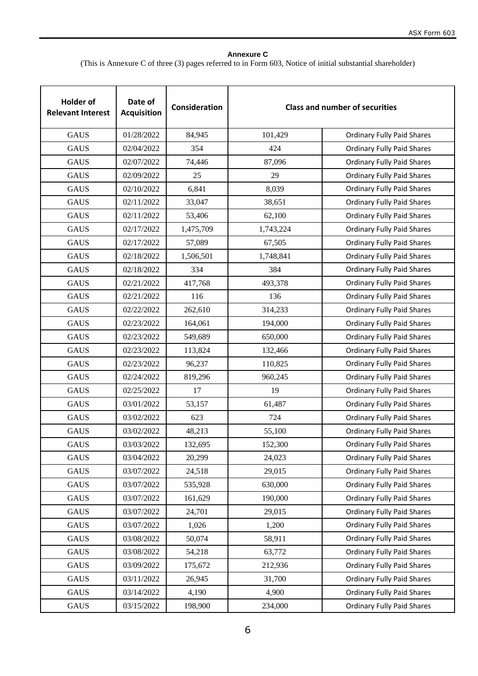## **Annexure C**

(This is Annexure C of three (3) pages referred to in Form 603, Notice of initial substantial shareholder)

| <b>Holder of</b><br><b>Relevant Interest</b> | Date of<br><b>Acquisition</b> | Consideration |           | <b>Class and number of securities</b> |
|----------------------------------------------|-------------------------------|---------------|-----------|---------------------------------------|
| <b>GAUS</b>                                  | 01/28/2022                    | 84,945        | 101,429   | <b>Ordinary Fully Paid Shares</b>     |
| <b>GAUS</b>                                  | 02/04/2022                    | 354           | 424       | <b>Ordinary Fully Paid Shares</b>     |
| <b>GAUS</b>                                  | 02/07/2022                    | 74,446        | 87,096    | <b>Ordinary Fully Paid Shares</b>     |
| <b>GAUS</b>                                  | 02/09/2022                    | 25            | 29        | <b>Ordinary Fully Paid Shares</b>     |
| <b>GAUS</b>                                  | 02/10/2022                    | 6,841         | 8,039     | <b>Ordinary Fully Paid Shares</b>     |
| <b>GAUS</b>                                  | 02/11/2022                    | 33,047        | 38,651    | <b>Ordinary Fully Paid Shares</b>     |
| <b>GAUS</b>                                  | 02/11/2022                    | 53,406        | 62,100    | <b>Ordinary Fully Paid Shares</b>     |
| <b>GAUS</b>                                  | 02/17/2022                    | 1,475,709     | 1,743,224 | <b>Ordinary Fully Paid Shares</b>     |
| <b>GAUS</b>                                  | 02/17/2022                    | 57,089        | 67,505    | <b>Ordinary Fully Paid Shares</b>     |
| <b>GAUS</b>                                  | 02/18/2022                    | 1,506,501     | 1,748,841 | <b>Ordinary Fully Paid Shares</b>     |
| <b>GAUS</b>                                  | 02/18/2022                    | 334           | 384       | <b>Ordinary Fully Paid Shares</b>     |
| <b>GAUS</b>                                  | 02/21/2022                    | 417,768       | 493,378   | <b>Ordinary Fully Paid Shares</b>     |
| <b>GAUS</b>                                  | 02/21/2022                    | 116           | 136       | <b>Ordinary Fully Paid Shares</b>     |
| <b>GAUS</b>                                  | 02/22/2022                    | 262,610       | 314,233   | <b>Ordinary Fully Paid Shares</b>     |
| <b>GAUS</b>                                  | 02/23/2022                    | 164,061       | 194,000   | <b>Ordinary Fully Paid Shares</b>     |
| <b>GAUS</b>                                  | 02/23/2022                    | 549,689       | 650,000   | <b>Ordinary Fully Paid Shares</b>     |
| <b>GAUS</b>                                  | 02/23/2022                    | 113,824       | 132,466   | <b>Ordinary Fully Paid Shares</b>     |
| <b>GAUS</b>                                  | 02/23/2022                    | 96,237        | 110,825   | <b>Ordinary Fully Paid Shares</b>     |
| <b>GAUS</b>                                  | 02/24/2022                    | 819,296       | 960,245   | <b>Ordinary Fully Paid Shares</b>     |
| <b>GAUS</b>                                  | 02/25/2022                    | 17            | 19        | <b>Ordinary Fully Paid Shares</b>     |
| <b>GAUS</b>                                  | 03/01/2022                    | 53,157        | 61,487    | <b>Ordinary Fully Paid Shares</b>     |
| <b>GAUS</b>                                  | 03/02/2022                    | 623           | 724       | <b>Ordinary Fully Paid Shares</b>     |
| <b>GAUS</b>                                  | 03/02/2022                    | 48,213        | 55,100    | <b>Ordinary Fully Paid Shares</b>     |
| <b>GAUS</b>                                  | 03/03/2022                    | 132,695       | 152,300   | <b>Ordinary Fully Paid Shares</b>     |
| <b>GAUS</b>                                  | 03/04/2022                    | 20,299        | 24,023    | <b>Ordinary Fully Paid Shares</b>     |
| <b>GAUS</b>                                  | 03/07/2022                    | 24,518        | 29,015    | <b>Ordinary Fully Paid Shares</b>     |
| GAUS                                         | 03/07/2022                    | 535,928       | 630,000   | <b>Ordinary Fully Paid Shares</b>     |
| <b>GAUS</b>                                  | 03/07/2022                    | 161,629       | 190,000   | <b>Ordinary Fully Paid Shares</b>     |
| <b>GAUS</b>                                  | 03/07/2022                    | 24,701        | 29,015    | <b>Ordinary Fully Paid Shares</b>     |
| <b>GAUS</b>                                  | 03/07/2022                    | 1,026         | 1,200     | <b>Ordinary Fully Paid Shares</b>     |
| <b>GAUS</b>                                  | 03/08/2022                    | 50,074        | 58,911    | <b>Ordinary Fully Paid Shares</b>     |
| <b>GAUS</b>                                  | 03/08/2022                    | 54,218        | 63,772    | <b>Ordinary Fully Paid Shares</b>     |
| <b>GAUS</b>                                  | 03/09/2022                    | 175,672       | 212,936   | <b>Ordinary Fully Paid Shares</b>     |
| <b>GAUS</b>                                  | 03/11/2022                    | 26,945        | 31,700    | <b>Ordinary Fully Paid Shares</b>     |
| <b>GAUS</b>                                  | 03/14/2022                    | 4,190         | 4,900     | <b>Ordinary Fully Paid Shares</b>     |
| <b>GAUS</b>                                  | 03/15/2022                    | 198,900       | 234,000   | <b>Ordinary Fully Paid Shares</b>     |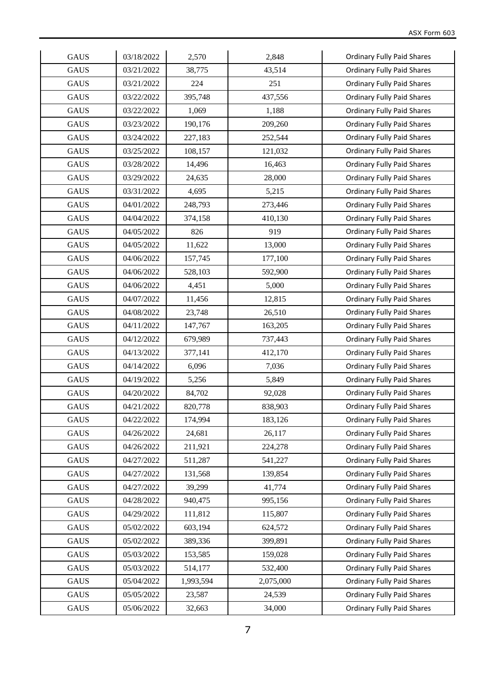| <b>GAUS</b> | 03/18/2022 | 2,570     | 2,848     | <b>Ordinary Fully Paid Shares</b> |
|-------------|------------|-----------|-----------|-----------------------------------|
| <b>GAUS</b> | 03/21/2022 | 38,775    | 43,514    | <b>Ordinary Fully Paid Shares</b> |
| <b>GAUS</b> | 03/21/2022 | 224       | 251       | <b>Ordinary Fully Paid Shares</b> |
| <b>GAUS</b> | 03/22/2022 | 395,748   | 437,556   | <b>Ordinary Fully Paid Shares</b> |
| <b>GAUS</b> | 03/22/2022 | 1,069     | 1,188     | <b>Ordinary Fully Paid Shares</b> |
| <b>GAUS</b> | 03/23/2022 | 190,176   | 209,260   | <b>Ordinary Fully Paid Shares</b> |
| <b>GAUS</b> | 03/24/2022 | 227,183   | 252,544   | <b>Ordinary Fully Paid Shares</b> |
| <b>GAUS</b> | 03/25/2022 | 108,157   | 121,032   | <b>Ordinary Fully Paid Shares</b> |
| <b>GAUS</b> | 03/28/2022 | 14,496    | 16,463    | <b>Ordinary Fully Paid Shares</b> |
| <b>GAUS</b> | 03/29/2022 | 24,635    | 28,000    | <b>Ordinary Fully Paid Shares</b> |
| <b>GAUS</b> | 03/31/2022 | 4,695     | 5,215     | <b>Ordinary Fully Paid Shares</b> |
| <b>GAUS</b> | 04/01/2022 | 248,793   | 273,446   | <b>Ordinary Fully Paid Shares</b> |
| <b>GAUS</b> | 04/04/2022 | 374,158   | 410,130   | <b>Ordinary Fully Paid Shares</b> |
| <b>GAUS</b> | 04/05/2022 | 826       | 919       | <b>Ordinary Fully Paid Shares</b> |
| <b>GAUS</b> | 04/05/2022 | 11,622    | 13,000    | <b>Ordinary Fully Paid Shares</b> |
| <b>GAUS</b> | 04/06/2022 | 157,745   | 177,100   | <b>Ordinary Fully Paid Shares</b> |
| <b>GAUS</b> | 04/06/2022 | 528,103   | 592,900   | <b>Ordinary Fully Paid Shares</b> |
| <b>GAUS</b> | 04/06/2022 | 4,451     | 5,000     | <b>Ordinary Fully Paid Shares</b> |
| <b>GAUS</b> | 04/07/2022 | 11,456    | 12,815    | <b>Ordinary Fully Paid Shares</b> |
| <b>GAUS</b> | 04/08/2022 | 23,748    | 26,510    | <b>Ordinary Fully Paid Shares</b> |
| <b>GAUS</b> | 04/11/2022 | 147,767   | 163,205   | <b>Ordinary Fully Paid Shares</b> |
| <b>GAUS</b> | 04/12/2022 | 679,989   | 737,443   | <b>Ordinary Fully Paid Shares</b> |
| <b>GAUS</b> | 04/13/2022 | 377,141   | 412,170   | <b>Ordinary Fully Paid Shares</b> |
| <b>GAUS</b> | 04/14/2022 | 6,096     | 7,036     | <b>Ordinary Fully Paid Shares</b> |
| <b>GAUS</b> | 04/19/2022 | 5,256     | 5,849     | <b>Ordinary Fully Paid Shares</b> |
| <b>GAUS</b> | 04/20/2022 | 84,702    | 92,028    | <b>Ordinary Fully Paid Shares</b> |
| <b>GAUS</b> | 04/21/2022 | 820,778   | 838,903   | <b>Ordinary Fully Paid Shares</b> |
| <b>GAUS</b> | 04/22/2022 | 174,994   | 183,126   | <b>Ordinary Fully Paid Shares</b> |
| <b>GAUS</b> | 04/26/2022 | 24,681    | 26,117    | <b>Ordinary Fully Paid Shares</b> |
| <b>GAUS</b> | 04/26/2022 | 211,921   | 224,278   | <b>Ordinary Fully Paid Shares</b> |
| <b>GAUS</b> | 04/27/2022 | 511,287   | 541,227   | <b>Ordinary Fully Paid Shares</b> |
| GAUS        | 04/27/2022 | 131,568   | 139,854   | <b>Ordinary Fully Paid Shares</b> |
| <b>GAUS</b> | 04/27/2022 | 39,299    | 41,774    | <b>Ordinary Fully Paid Shares</b> |
| <b>GAUS</b> | 04/28/2022 | 940,475   | 995,156   | <b>Ordinary Fully Paid Shares</b> |
| <b>GAUS</b> | 04/29/2022 | 111,812   | 115,807   | <b>Ordinary Fully Paid Shares</b> |
| <b>GAUS</b> | 05/02/2022 | 603,194   | 624,572   | <b>Ordinary Fully Paid Shares</b> |
| <b>GAUS</b> | 05/02/2022 | 389,336   | 399,891   | <b>Ordinary Fully Paid Shares</b> |
| <b>GAUS</b> | 05/03/2022 | 153,585   | 159,028   | <b>Ordinary Fully Paid Shares</b> |
| <b>GAUS</b> | 05/03/2022 | 514,177   | 532,400   | <b>Ordinary Fully Paid Shares</b> |
| <b>GAUS</b> | 05/04/2022 | 1,993,594 | 2,075,000 | <b>Ordinary Fully Paid Shares</b> |
| <b>GAUS</b> | 05/05/2022 | 23,587    | 24,539    | <b>Ordinary Fully Paid Shares</b> |
| GAUS        | 05/06/2022 | 32,663    | 34,000    | <b>Ordinary Fully Paid Shares</b> |